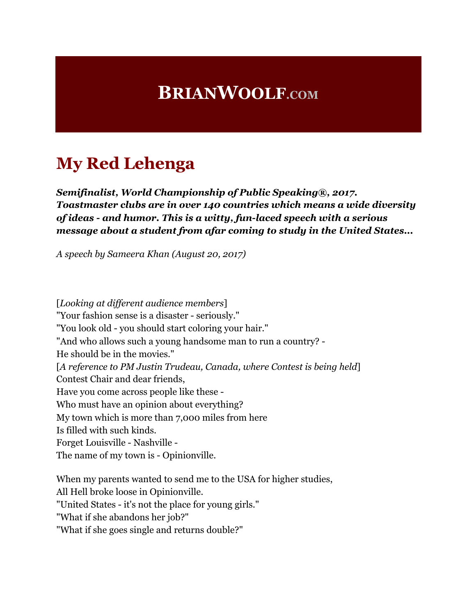## **BRIANWOOLF.COM**

### **My Red Lehenga**

*Semifinalist, World Championship of Public Speaking®, 2017. Toastmaster clubs are in over 140 countries which means a wide diversity of ideas - and humor. This is a witty, fun-laced speech with a serious message about a student from afar coming to study in the United States...*

*A speech by Sameera Khan (August 20, 2017)*

[*Looking at different audience members*] "Your fashion sense is a disaster - seriously." "You look old - you should start coloring your hair." "And who allows such a young handsome man to run a country? - He should be in the movies." [*A reference to PM Justin Trudeau, Canada, where Contest is being held*] Contest Chair and dear friends, Have you come across people like these - Who must have an opinion about everything? My town which is more than 7,000 miles from here Is filled with such kinds. Forget Louisville - Nashville - The name of my town is - Opinionville. When my parents wanted to send me to the USA for higher studies,

All Hell broke loose in Opinionville.

"United States - it's not the place for young girls."

"What if she abandons her job?"

"What if she goes single and returns double?"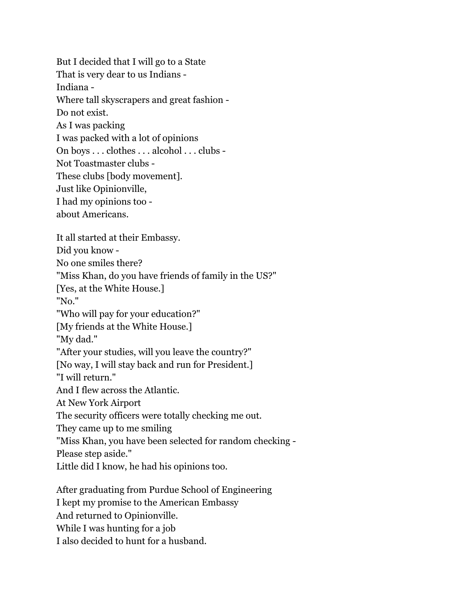But I decided that I will go to a State That is very dear to us Indians - Indiana - Where tall skyscrapers and great fashion - Do not exist. As I was packing I was packed with a lot of opinions On boys . . . clothes . . . alcohol . . . clubs - Not Toastmaster clubs - These clubs [body movement]. Just like Opinionville, I had my opinions too about Americans. It all started at their Embassy. Did you know - No one smiles there? "Miss Khan, do you have friends of family in the US?" [Yes, at the White House.] "No." "Who will pay for your education?" [My friends at the White House.] "My dad." "After your studies, will you leave the country?" [No way, I will stay back and run for President.] "I will return." And I flew across the Atlantic. At New York Airport The security officers were totally checking me out. They came up to me smiling "Miss Khan, you have been selected for random checking - Please step aside." Little did I know, he had his opinions too. After graduating from Purdue School of Engineering I kept my promise to the American Embassy And returned to Opinionville.

While I was hunting for a job

I also decided to hunt for a husband.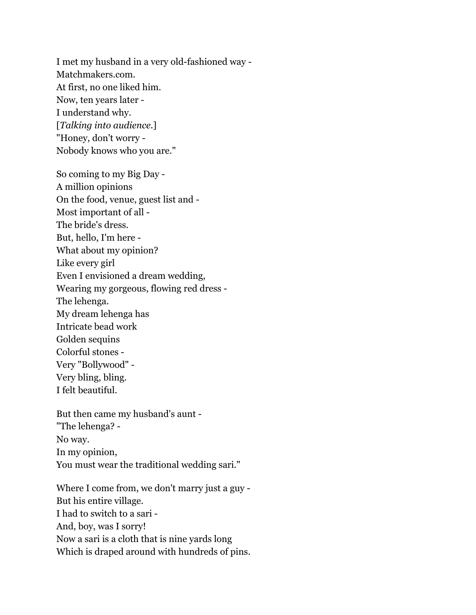I met my husband in a very old-fashioned way - Matchmakers.com. At first, no one liked him. Now, ten years later - I understand why. [*Talking into audience.*] "Honey, don't worry - Nobody knows who you are."

So coming to my Big Day - A million opinions On the food, venue, guest list and - Most important of all - The bride's dress. But, hello, I'm here - What about my opinion? Like every girl Even I envisioned a dream wedding, Wearing my gorgeous, flowing red dress - The lehenga. My dream lehenga has Intricate bead work Golden sequins Colorful stones - Very "Bollywood" - Very bling, bling. I felt beautiful.

But then came my husband's aunt - "The lehenga? - No way. In my opinion, You must wear the traditional wedding sari."

Where I come from, we don't marry just a guy - But his entire village. I had to switch to a sari - And, boy, was I sorry! Now a sari is a cloth that is nine yards long Which is draped around with hundreds of pins.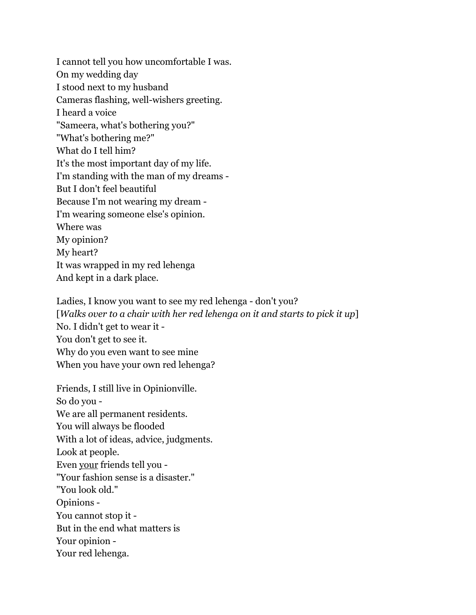I cannot tell you how uncomfortable I was. On my wedding day I stood next to my husband Cameras flashing, well-wishers greeting. I heard a voice "Sameera, what's bothering you?" "What's bothering me?" What do I tell him? It's the most important day of my life. I'm standing with the man of my dreams - But I don't feel beautiful Because I'm not wearing my dream - I'm wearing someone else's opinion. Where was My opinion? My heart? It was wrapped in my red lehenga And kept in a dark place.

Ladies, I know you want to see my red lehenga - don't you? [*Walks over to a chair with her red lehenga on it and starts to pick it up*] No. I didn't get to wear it - You don't get to see it. Why do you even want to see mine When you have your own red lehenga?

Friends, I still live in Opinionville. So do you - We are all permanent residents. You will always be flooded With a lot of ideas, advice, judgments. Look at people. Even your friends tell you - "Your fashion sense is a disaster." "You look old." Opinions - You cannot stop it - But in the end what matters is Your opinion - Your red lehenga.